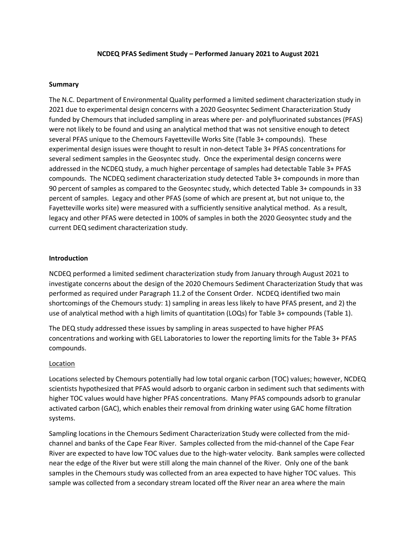## **NCDEQ PFAS Sediment Study – Performed January 2021 to August 2021**

### **Summary**

The N.C. Department of Environmental Quality performed a limited sediment characterization study in 2021 due to experimental design concerns with a 2020 Geosyntec Sediment Characterization Study funded by Chemours that included sampling in areas where per- and polyfluorinated substances (PFAS) were not likely to be found and using an analytical method that was not sensitive enough to detect several PFAS unique to the Chemours Fayetteville Works Site (Table 3+ compounds). These experimental design issues were thought to result in non-detect Table 3+ PFAS concentrations for several sediment samples in the Geosyntec study. Once the experimental design concerns were addressed in the NCDEQ study, a much higher percentage of samples had detectable Table 3+ PFAS compounds. The NCDEQ sediment characterization study detected Table 3+ compounds in more than 90 percent of samples as compared to the Geosyntec study, which detected Table 3+ compounds in 33 percent of samples. Legacy and other PFAS (some of which are present at, but not unique to, the Fayetteville works site) were measured with a sufficiently sensitive analytical method. As a result, legacy and other PFAS were detected in 100% of samples in both the 2020 Geosyntec study and the current DEQ sediment characterization study.

## **Introduction**

NCDEQ performed a limited sediment characterization study from January through August 2021 to investigate concerns about the design of the 2020 Chemours Sediment Characterization Study that was performed as required under Paragraph 11.2 of the Consent Order. NCDEQ identified two main shortcomings of the Chemours study: 1) sampling in areas less likely to have PFAS present, and 2) the use of analytical method with a high limits of quantitation (LOQs) for Table 3+ compounds (Table 1).

The DEQ study addressed these issues by sampling in areas suspected to have higher PFAS concentrations and working with GEL Laboratories to lower the reporting limits for the Table 3+ PFAS compounds.

#### Location

Locations selected by Chemours potentially had low total organic carbon (TOC) values; however, NCDEQ scientists hypothesized that PFAS would adsorb to organic carbon in sediment such that sediments with higher TOC values would have higher PFAS concentrations. Many PFAS compounds adsorb to granular activated carbon (GAC), which enables their removal from drinking water using GAC home filtration systems.

Sampling locations in the Chemours Sediment Characterization Study were collected from the midchannel and banks of the Cape Fear River. Samples collected from the mid-channel of the Cape Fear River are expected to have low TOC values due to the high-water velocity. Bank samples were collected near the edge of the River but were still along the main channel of the River. Only one of the bank samples in the Chemours study was collected from an area expected to have higher TOC values. This sample was collected from a secondary stream located off the River near an area where the main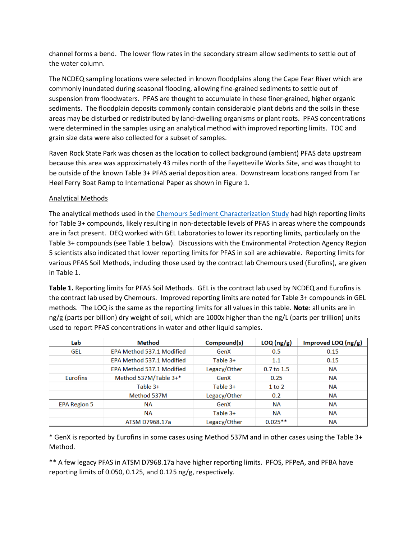channel forms a bend. The lower flow rates in the secondary stream allow sediments to settle out of the water column.

The NCDEQ sampling locations were selected in known floodplains along the Cape Fear River which are commonly inundated during seasonal flooding, allowing fine-grained sediments to settle out of suspension from floodwaters. PFAS are thought to accumulate in these finer-grained, higher organic sediments. The floodplain deposits commonly contain considerable plant debris and the soils in these areas may be disturbed or redistributed by land-dwelling organisms or plant roots. PFAS concentrations were determined in the samples using an analytical method with improved reporting limits. TOC and grain size data were also collected for a subset of samples.

Raven Rock State Park was chosen as the location to collect background (ambient) PFAS data upstream because this area was approximately 43 miles north of the Fayetteville Works Site, and was thought to be outside of the known Table 3+ PFAS aerial deposition area. Downstream locations ranged from Tar Heel Ferry Boat Ramp to International Paper as shown in Figure 1.

# Analytical Methods

The analytical methods used in the [Chemours Sediment Characterization Study](https://edocs.deq.nc.gov/WasteManagement/DocView.aspx?id=1611195&dbid=0&repo=WasteManagement) had high reporting limits for Table 3+ compounds, likely resulting in non-detectable levels of PFAS in areas where the compounds are in fact present. DEQ worked with GEL Laboratories to lower its reporting limits, particularly on the Table 3+ compounds (see Table 1 below). Discussions with the Environmental Protection Agency Region 5 scientists also indicated that lower reporting limits for PFAS in soil are achievable. Reporting limits for various PFAS Soil Methods, including those used by the contract lab Chemours used (Eurofins), are given in Table 1.

**Table 1.** Reporting limits for PFAS Soil Methods. GEL is the contract lab used by NCDEQ and Eurofins is the contract lab used by Chemours. Improved reporting limits are noted for Table 3+ compounds in GEL methods. The LOQ is the same as the reporting limits for all values in this table. **Note**: all units are in ng/g (parts per billion) dry weight of soil, which are 1000x higher than the ng/L (parts per trillion) units used to report PFAS concentrations in water and other liquid samples.

| Lab                 | <b>Method</b>             | Compound(s)  | LOQ(ng/g)    | Improved LOQ $(ng/g)$ |
|---------------------|---------------------------|--------------|--------------|-----------------------|
| <b>GEL</b>          | EPA Method 537.1 Modified | GenX         | 0.5          | 0.15                  |
|                     | EPA Method 537.1 Modified | Table $3+$   | 1.1          | 0.15                  |
|                     | EPA Method 537.1 Modified | Legacy/Other | $0.7$ to 1.5 | <b>NA</b>             |
| <b>Eurofins</b>     | Method 537M/Table 3+*     | GenX         | 0.25         | <b>NA</b>             |
|                     | Table $3+$                | Table $3+$   | $1$ to $2$   | <b>NA</b>             |
|                     | Method 537M               | Legacy/Other | 0.2          | <b>NA</b>             |
| <b>EPA Region 5</b> | <b>NA</b>                 | GenX         | <b>NA</b>    | <b>NA</b>             |
|                     | <b>NA</b>                 | Table $3+$   | <b>NA</b>    | <b>NA</b>             |
|                     | ATSM D7968.17a            | Legacy/Other | $0.025***$   | NА                    |

\* GenX is reported by Eurofins in some cases using Method 537M and in other cases using the Table 3+ Method.

\*\* A few legacy PFAS in ATSM D7968.17a have higher reporting limits. PFOS, PFPeA, and PFBA have reporting limits of 0.050, 0.125, and 0.125 ng/g, respectively.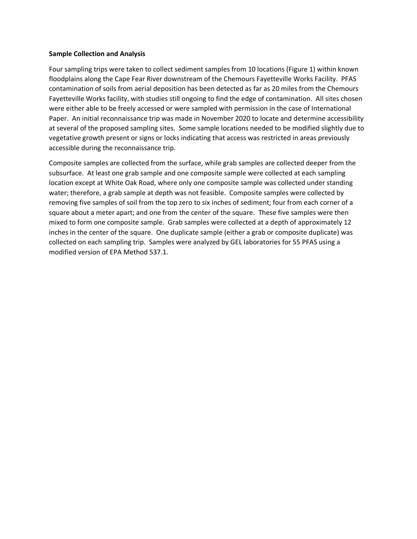### **Sample Collection and Analysis**

Four sampling trips were taken to collect sediment samples from 10 locations (Figure 1) within known floodplains along the Cape Fear River downstream of the Chemours Fayetteville Works Facility. PFAS contamination of soils from aerial deposition has been detected as far as 20 miles from the Chemours Fayetteville Works facility, with studies still ongoing to find the edge of contamination. All sites chosen were either able to be freely accessed or were sampled with permission in the case of International Paper. An initial reconnaissance trip was made in November 2020 to locate and determine accessibility at several of the proposed sampling sites. Some sample locations needed to be modified slightly due to vegetative growth present or signs or locks indicating that access was restricted in areas previously accessible during the reconnaissance trip.

Composite samples are collected from the surface, while grab samples are collected deeper from the subsurface. At least one grab sample and one composite sample were collected at each sampling location except at White Oak Road, where only one composite sample was collected under standing water; therefore, a grab sample at depth was not feasible. Composite samples were collected by removing five samples of soil from the top zero to six inches of sediment; four from each corner of a square about a meter apart; and one from the center of the square. These five samples were then mixed to form one composite sample. Grab samples were collected at a depth of approximately 12 inches in the center of the square. One duplicate sample (either a grab or composite duplicate) was collected on each sampling trip. Samples were analyzed by GEL laboratories for 55 PFAS using a modified version of EPA Method 537.1.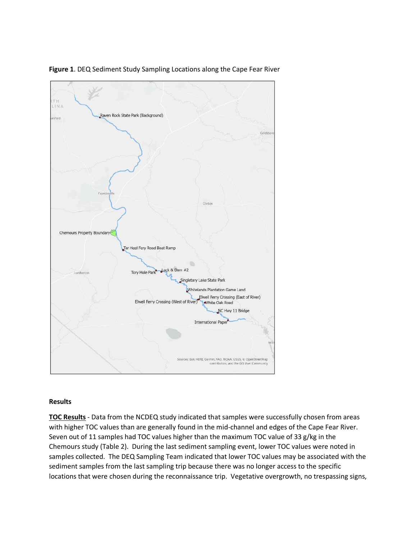

**Figure 1**. DEQ Sediment Study Sampling Locations along the Cape Fear River

# **Results**

**TOC Results** - Data from the NCDEQ study indicated that samples were successfully chosen from areas with higher TOC values than are generally found in the mid-channel and edges of the Cape Fear River. Seven out of 11 samples had TOC values higher than the maximum TOC value of 33 g/kg in the Chemours study (Table 2). During the last sediment sampling event, lower TOC values were noted in samples collected. The DEQ Sampling Team indicated that lower TOC values may be associated with the sediment samples from the last sampling trip because there was no longer access to the specific locations that were chosen during the reconnaissance trip. Vegetative overgrowth, no trespassing signs,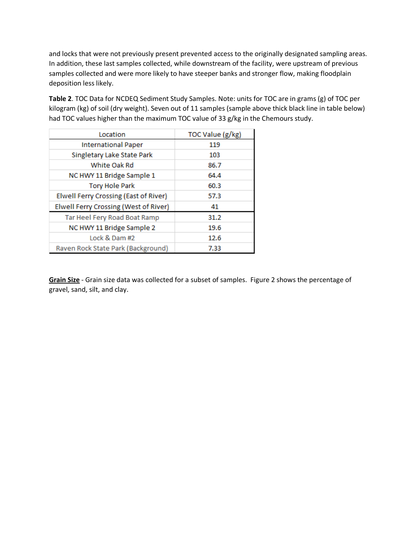and locks that were not previously present prevented access to the originally designated sampling areas. In addition, these last samples collected, while downstream of the facility, were upstream of previous samples collected and were more likely to have steeper banks and stronger flow, making floodplain deposition less likely.

**Table 2**. TOC Data for NCDEQ Sediment Study Samples. Note: units for TOC are in grams (g) of TOC per kilogram (kg) of soil (dry weight). Seven out of 11 samples (sample above thick black line in table below) had TOC values higher than the maximum TOC value of 33 g/kg in the Chemours study.

| Location                              | TOC Value (g/kg) |  |
|---------------------------------------|------------------|--|
| <b>International Paper</b>            | 119              |  |
| Singletary Lake State Park            | 103              |  |
| White Oak Rd                          | 86.7             |  |
| NC HWY 11 Bridge Sample 1             | 64.4             |  |
| <b>Tory Hole Park</b>                 | 60.3             |  |
| Elwell Ferry Crossing (East of River) | 57.3             |  |
| Elwell Ferry Crossing (West of River) | 41               |  |
| Tar Heel Fery Road Boat Ramp          | 31.2             |  |
| NC HWY 11 Bridge Sample 2             | 19.6             |  |
| Lock & Dam #2                         | 12.6             |  |
| Raven Rock State Park (Background)    | 7.33             |  |

**Grain Size** - Grain size data was collected for a subset of samples. Figure 2 shows the percentage of gravel, sand, silt, and clay.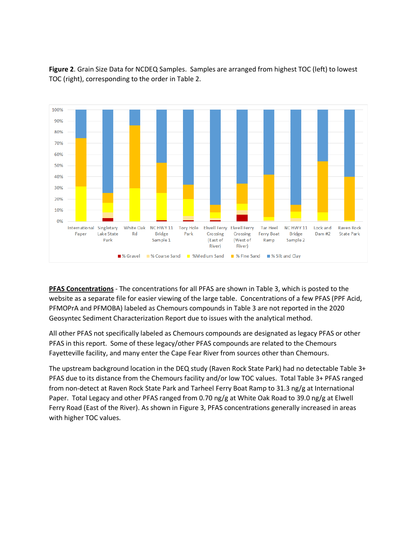

**Figure 2**. Grain Size Data for NCDEQ Samples. Samples are arranged from highest TOC (left) to lowest TOC (right), corresponding to the order in Table 2.

**PFAS Concentrations** - The concentrations for all PFAS are shown in Table 3, which is posted to the website as a separate file for easier viewing of the large table. Concentrations of a few PFAS (PPF Acid, PFMOPrA and PFMOBA) labeled as Chemours compounds in Table 3 are not reported in the 2020 Geosyntec Sediment Characterization Report due to issues with the analytical method.

All other PFAS not specifically labeled as Chemours compounds are designated as legacy PFAS or other PFAS in this report. Some of these legacy/other PFAS compounds are related to the Chemours Fayetteville facility, and many enter the Cape Fear River from sources other than Chemours.

The upstream background location in the DEQ study (Raven Rock State Park) had no detectable Table 3+ PFAS due to its distance from the Chemours facility and/or low TOC values. Total Table 3+ PFAS ranged from non-detect at Raven Rock State Park and Tarheel Ferry Boat Ramp to 31.3 ng/g at International Paper. Total Legacy and other PFAS ranged from 0.70 ng/g at White Oak Road to 39.0 ng/g at Elwell Ferry Road (East of the River). As shown in Figure 3, PFAS concentrations generally increased in areas with higher TOC values.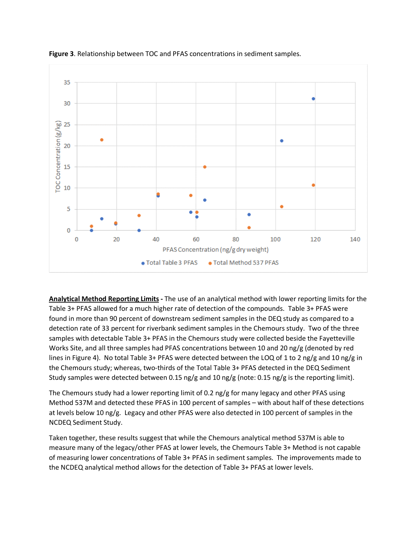

**Figure 3**. Relationship between TOC and PFAS concentrations in sediment samples.

**Analytical Method Reporting Limits -** The use of an analytical method with lower reporting limits for the Table 3+ PFAS allowed for a much higher rate of detection of the compounds. Table 3+ PFAS were found in more than 90 percent of downstream sediment samples in the DEQ study as compared to a detection rate of 33 percent for riverbank sediment samples in the Chemours study. Two of the three samples with detectable Table 3+ PFAS in the Chemours study were collected beside the Fayetteville Works Site, and all three samples had PFAS concentrations between 10 and 20 ng/g (denoted by red lines in Figure 4). No total Table 3+ PFAS were detected between the LOQ of 1 to 2 ng/g and 10 ng/g in the Chemours study; whereas, two-thirds of the Total Table 3+ PFAS detected in the DEQ Sediment Study samples were detected between 0.15 ng/g and 10 ng/g (note: 0.15 ng/g is the reporting limit).

The Chemours study had a lower reporting limit of 0.2 ng/g for many legacy and other PFAS using Method 537M and detected these PFAS in 100 percent of samples – with about half of these detections at levels below 10 ng/g. Legacy and other PFAS were also detected in 100 percent of samples in the NCDEQ Sediment Study.

Taken together, these results suggest that while the Chemours analytical method 537M is able to measure many of the legacy/other PFAS at lower levels, the Chemours Table 3+ Method is not capable of measuring lower concentrations of Table 3+ PFAS in sediment samples. The improvements made to the NCDEQ analytical method allows for the detection of Table 3+ PFAS at lower levels.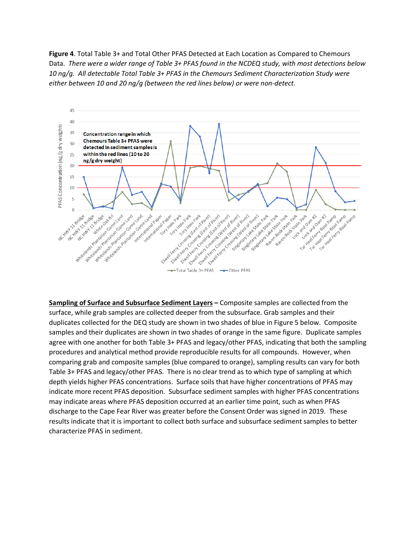**Figure 4**. Total Table 3+ and Total Other PFAS Detected at Each Location as Compared to Chemours Data. *There were a wider range of Table 3+ PFAS found in the NCDEQ study, with most detections below 10 ng/g. All detectable Total Table 3+ PFAS in the Chemours Sediment Characterization Study were either between 10 and 20 ng/g (between the red lines below) or were non-detect.*



**Sampling of Surface and Subsurface Sediment Layers –** Composite samples are collected from the surface, while grab samples are collected deeper from the subsurface. Grab samples and their duplicates collected for the DEQ study are shown in two shades of blue in Figure 5 below. Composite samples and their duplicates are shown in two shades of orange in the same figure. Duplicate samples agree with one another for both Table 3+ PFAS and legacy/other PFAS, indicating that both the sampling procedures and analytical method provide reproducible results for all compounds. However, when comparing grab and composite samples (blue compared to orange), sampling results can vary for both Table 3+ PFAS and legacy/other PFAS. There is no clear trend as to which type of sampling at which depth yields higher PFAS concentrations. Surface soils that have higher concentrations of PFAS may indicate more recent PFAS deposition. Subsurface sediment samples with higher PFAS concentrations may indicate areas where PFAS deposition occurred at an earlier time point, such as when PFAS discharge to the Cape Fear River was greater before the Consent Order was signed in 2019. These results indicate that it is important to collect both surface and subsurface sediment samples to better characterize PFAS in sediment.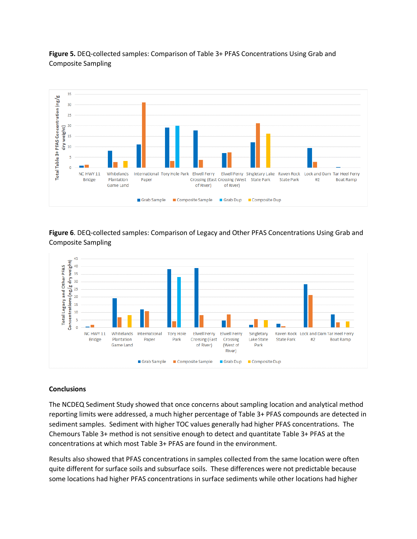

**Figure 5.** DEQ-collected samples: Comparison of Table 3+ PFAS Concentrations Using Grab and Composite Sampling

**Figure 6**. DEQ-collected samples: Comparison of Legacy and Other PFAS Concentrations Using Grab and Composite Sampling



# **Conclusions**

The NCDEQ Sediment Study showed that once concerns about sampling location and analytical method reporting limits were addressed, a much higher percentage of Table 3+ PFAS compounds are detected in sediment samples. Sediment with higher TOC values generally had higher PFAS concentrations. The Chemours Table 3+ method is not sensitive enough to detect and quantitate Table 3+ PFAS at the concentrations at which most Table 3+ PFAS are found in the environment.

Results also showed that PFAS concentrations in samples collected from the same location were often quite different for surface soils and subsurface soils. These differences were not predictable because some locations had higher PFAS concentrations in surface sediments while other locations had higher